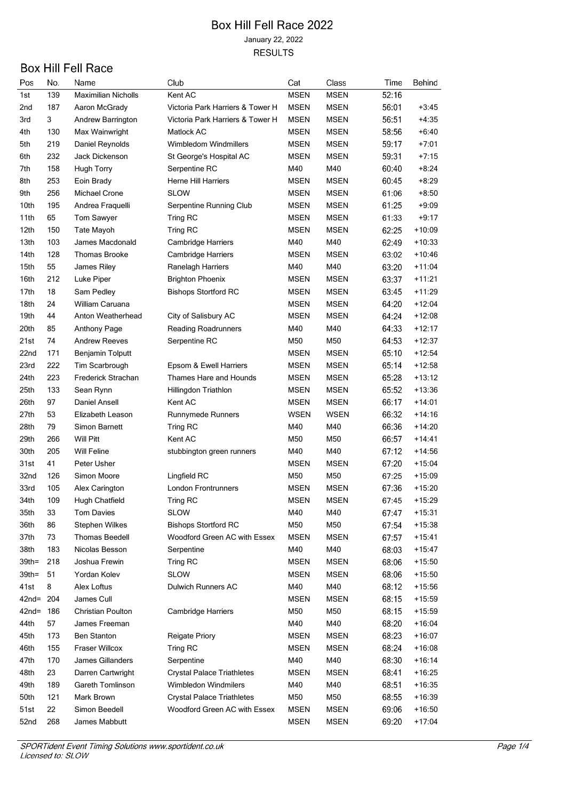| Pos             | No. | Name                       | Club                              | Cat         | Class       | Time  | Behind   |
|-----------------|-----|----------------------------|-----------------------------------|-------------|-------------|-------|----------|
| 1st             | 139 | <b>Maximilian Nicholls</b> | Kent AC                           | <b>MSEN</b> | <b>MSEN</b> | 52:16 |          |
| 2 <sub>nd</sub> | 187 | Aaron McGrady              | Victoria Park Harriers & Tower H  | MSEN        | <b>MSEN</b> | 56:01 | +3:45    |
| 3rd             | 3   | Andrew Barrington          | Victoria Park Harriers & Tower H  | <b>MSEN</b> | <b>MSEN</b> | 56.51 | $+4:35$  |
| 4th             | 130 | Max Wainwright             | Matlock AC                        | <b>MSEN</b> | <b>MSEN</b> | 58:56 | $+6:40$  |
| 5th             | 219 | Daniel Reynolds            | Wimbledom Windmillers             | <b>MSEN</b> | <b>MSEN</b> | 59:17 | $+7:01$  |
| 6th             | 232 | Jack Dickenson             | St George's Hospital AC           | MSEN        | <b>MSEN</b> | 59:31 | $+7:15$  |
| 7th             | 158 | <b>Hugh Torry</b>          | Serpentine RC                     | M40         | M40         | 60:40 | +8:24    |
| 8th             | 253 | Eoin Brady                 | <b>Herne Hill Harriers</b>        | <b>MSEN</b> | <b>MSEN</b> | 60.45 | $+8:29$  |
| 9th             | 256 | Michael Crone              | SLOW                              | <b>MSEN</b> | <b>MSEN</b> | 61:06 | $+8:50$  |
| 10th            | 195 | Andrea Fraquelli           | Serpentine Running Club           | <b>MSEN</b> | <b>MSEN</b> | 61:25 | $+9:09$  |
| 11th            | 65  | Tom Sawyer                 | Tring RC                          | <b>MSEN</b> | <b>MSEN</b> | 61.33 | $+9:17$  |
| 12th            | 150 | Tate Mayoh                 | Tring RC                          | <b>MSEN</b> | <b>MSEN</b> | 62:25 | $+10:09$ |
| 13th            | 103 | James Macdonald            | Cambridge Harriers                | M40         | M40         | 62.49 | $+10:33$ |
| 14th            | 128 | <b>Thomas Brooke</b>       | Cambridge Harriers                | <b>MSEN</b> | <b>MSEN</b> | 63:02 | $+10.46$ |
| 15th            | 55  | James Riley                | Ranelagh Harriers                 | M40         | M40         | 63.20 | $+11:04$ |
| 16th            | 212 | Luke Piper                 | <b>Brighton Phoenix</b>           | <b>MSEN</b> | <b>MSEN</b> | 63:37 | $+11:21$ |
| 17th            | 18  | Sam Pedley                 | <b>Bishops Stortford RC</b>       | <b>MSEN</b> | <b>MSEN</b> | 63.45 | $+11:29$ |
| 18th            | 24  | William Caruana            |                                   | MSEN        | <b>MSEN</b> | 64:20 | $+12:04$ |
| 19th            | 44  | Anton Weatherhead          | City of Salisbury AC              | MSEN        | <b>MSEN</b> | 64:24 | $+12:08$ |
| 20th            | 85  | <b>Anthony Page</b>        | <b>Reading Roadrunners</b>        | M40         | M40         | 64:33 | $+12:17$ |
| 21st            | 74  | <b>Andrew Reeves</b>       | Serpentine RC                     | M50         | M50         | 64.53 | $+12:37$ |
| 22nd            | 171 | <b>Benjamin Tolputt</b>    |                                   | <b>MSEN</b> | <b>MSEN</b> | 65.10 | $+12:54$ |
| 23rd            | 222 | Tim Scarbrough             | Epsom & Ewell Harriers            | MSEN        | <b>MSEN</b> | 65:14 | $+12:58$ |
| 24th            | 223 | Frederick Strachan         | Thames Hare and Hounds            | <b>MSEN</b> | <b>MSEN</b> | 65:28 | $+13:12$ |
| 25th            | 133 | Sean Rynn                  | Hillingdon Triathlon              | MSEN        | <b>MSEN</b> | 65.52 | $+13:36$ |
| 26th            | 97  | Daniel Ansell              | Kent AC                           | MSEN        | <b>MSEN</b> | 66:17 | $+14:01$ |
| 27th            | 53  | Elizabeth Leason           | Runnymede Runners                 | <b>WSEN</b> | WSEN        | 66.32 | $+14:16$ |
| 28th            | 79  | Simon Barnett              | Tring RC                          | M40         | M40         | 66.36 | $+14:20$ |
| 29th            | 266 | <b>Will Pitt</b>           | Kent AC                           | M50         | M50         | 66.57 | $+14.41$ |
| 30th            | 205 | <b>Will Feline</b>         | stubbington green runners         | M40         | M40         | 67:12 | $+14:56$ |
| 31st            | 41  | Peter Usher                |                                   | MSEN        | <b>MSEN</b> | 67.20 | $+15.04$ |
| 32nd            | 126 | Simon Moore                | Lingfield RC                      | M50         | M50         | 67.25 | +15:09   |
| 33rd            | 105 | Alex Carington             | <b>London Frontrunners</b>        | <b>MSEN</b> | <b>MSEN</b> | 67.36 | $+15.20$ |
| 34th            | 109 | Hugh Chatfield             | Tring RC                          | <b>MSEN</b> | <b>MSEN</b> | 67.45 | $+15:29$ |
| 35th            | 33  | <b>Tom Davies</b>          | <b>SLOW</b>                       | M40         | M40         | 67:47 | $+15:31$ |
| 36th            | 86  | <b>Stephen Wilkes</b>      | <b>Bishops Stortford RC</b>       | M50         | M50         | 67:54 | +15:38   |
| 37th            | 73  | <b>Thomas Beedell</b>      | Woodford Green AC with Essex      | <b>MSEN</b> | <b>MSEN</b> | 67:57 | $+15:41$ |
| 38th            | 183 | Nicolas Besson             | Serpentine                        | M40         | M40         | 68:03 | $+15:47$ |
| $39th =$        | 218 | Joshua Frewin              | Tring RC                          | <b>MSEN</b> | <b>MSEN</b> | 68:06 | $+15:50$ |
| $39th =$        | 51  | Yordan Kolev               | <b>SLOW</b>                       | <b>MSEN</b> | <b>MSEN</b> | 68:06 | $+15:50$ |
| 41st            | 8   | Alex Loftus                | Dulwich Runners AC                | M40         | M40         | 68:12 | $+15:56$ |
| 42nd= 204       |     | James Cull                 |                                   | <b>MSEN</b> | <b>MSEN</b> | 68:15 | $+15:59$ |
| $42nd =$        | 186 | Christian Poulton          |                                   | M50         | M50         | 68:15 | $+15.59$ |
| 44th            | 57  | James Freeman              | Cambridge Harriers                | M40         | M40         |       | $+16:04$ |
|                 |     |                            |                                   |             |             | 68:20 |          |
| 45th            | 173 | <b>Ben Stanton</b>         | Reigate Priory                    | <b>MSEN</b> | <b>MSEN</b> | 68:23 | $+16:07$ |
| 46th            | 155 | Fraser Willcox             | Tring RC                          | <b>MSEN</b> | <b>MSEN</b> | 68:24 | $+16:08$ |
| 47th            | 170 | James Gillanders           | Serpentine                        | M40         | M40         | 68:30 | $+16:14$ |
| 48th            | 23  | Darren Cartwright          | <b>Crystal Palace Triathletes</b> | <b>MSEN</b> | <b>MSEN</b> | 68:41 | $+16:25$ |
| 49th            | 189 | Gareth Tomlinson           | Wimbledon Windmilers              | M40         | M40         | 68:51 | $+16:35$ |
| 50th            | 121 | Mark Brown                 | <b>Crystal Palace Triathletes</b> | M50         | M50         | 68:55 | +16:39   |
| 51st            | 22  | Simon Beedell              | Woodford Green AC with Essex      | MSEN        | MSEN        | 69:06 | $+16:50$ |
| 52nd            | 268 | James Mabbutt              |                                   | <b>MSEN</b> | <b>MSEN</b> | 69:20 | $+17.04$ |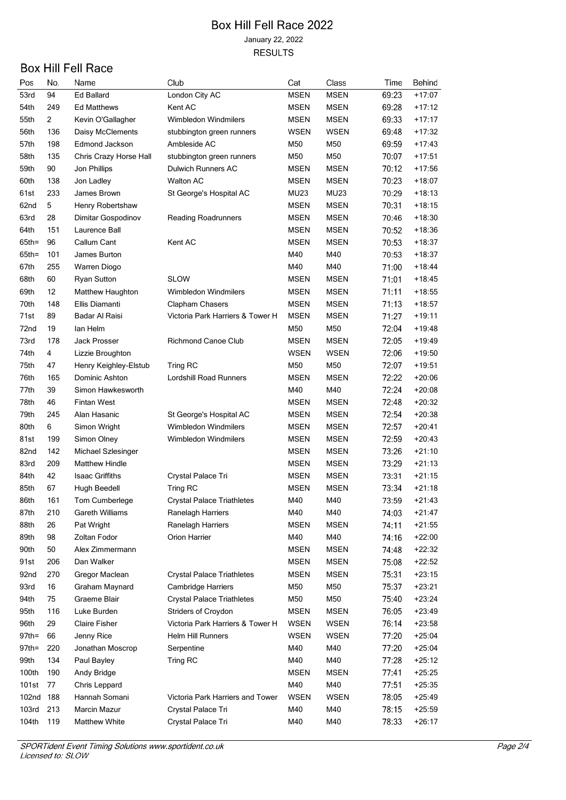| Pos               | No. | Name                   | Club                              | Cat         | <b>Class</b> | Time  | Behind   |
|-------------------|-----|------------------------|-----------------------------------|-------------|--------------|-------|----------|
| 53rd              | 94  | <b>Ed Ballard</b>      | London City AC                    | <b>MSEN</b> | <b>MSEN</b>  | 69.23 | $+17:07$ |
| 54th              | 249 | <b>Ed Matthews</b>     | Kent AC                           | <b>MSEN</b> | MSEN         | 69:28 | $+17.12$ |
| 55th              | 2   | Kevin O'Gallagher      | <b>Wimbledon Windmilers</b>       | <b>MSEN</b> | <b>MSEN</b>  | 69.33 | $+17.17$ |
| 56th              | 136 | Daisy McClements       | stubbington green runners         | <b>WSEN</b> | WSEN         | 69:48 | $+17.32$ |
| 57th              | 198 | Edmond Jackson         | Ambleside AC                      | M50         | M50          | 69.59 | $+17:43$ |
| 58th              | 135 | Chris Crazy Horse Hall | stubbington green runners         | M50         | M50          | 70:07 | $+17:51$ |
| 59th              | 90  | Jon Phillips           | Dulwich Runners AC                | <b>MSEN</b> | <b>MSEN</b>  | 70:12 | +17:56   |
| 60th              | 138 | Jon Ladley             | <b>Walton AC</b>                  | <b>MSEN</b> | <b>MSEN</b>  | 70.23 | $+18:07$ |
| 61st              | 233 | James Brown            | St George's Hospital AC           | <b>MU23</b> | MU23         | 70.29 | $+18.13$ |
| 62nd              | 5   | Henry Robertshaw       |                                   | <b>MSEN</b> | <b>MSEN</b>  | 70:31 | $+18.15$ |
| 63rd              | 28  | Dimitar Gospodinov     | <b>Reading Roadrunners</b>        | <b>MSEN</b> | <b>MSEN</b>  | 70:46 | $+18:30$ |
| 64th              | 151 | Laurence Ball          |                                   | <b>MSEN</b> | <b>MSEN</b>  | 70:52 | $+18:36$ |
| $65$ th=          | 96  | Callum Cant            | Kent AC                           | MSEN        | <b>MSEN</b>  | 70.53 | $+18:37$ |
| $65th =$          | 101 | James Burton           |                                   | M40         | M40          | 70:53 | $+18:37$ |
| 67th              | 255 | Warren Diogo           |                                   | M40         | M40          | 71:00 | $+18:44$ |
| 68th              | 60  | <b>Ryan Sutton</b>     | <b>SLOW</b>                       | MSEN        | <b>MSEN</b>  | 71:01 | $+18.45$ |
| 69th              | 12  | Matthew Haughton       | Wimbledon Windmilers              | <b>MSEN</b> | <b>MSEN</b>  | 71:11 | $+18.55$ |
| 70th              | 148 | Ellis Diamanti         | Clapham Chasers                   | <b>MSEN</b> | <b>MSEN</b>  | 71:13 | $+18:57$ |
| 71st              | 89  | Badar Al Raisi         | Victoria Park Harriers & Tower H  | <b>MSEN</b> | <b>MSEN</b>  | 71.27 | +19:11   |
| 72nd              | 19  | lan Helm               |                                   | M50         | M50          | 72:04 | $+19:48$ |
| 73rd              | 178 | Jack Prosser           | <b>Richmond Canoe Club</b>        | <b>MSEN</b> | MSEN         | 72:05 | $+19:49$ |
| 74th              | 4   | Lizzie Broughton       |                                   | <b>WSEN</b> | WSEN         | 72:06 | $+19:50$ |
| 75th              | 47  | Henry Keighley-Elstub  | Tring RC                          | M50         | M50          | 72:07 | $+19:51$ |
| 76th              | 165 | Dominic Ashton         | Lordshill Road Runners            | MSEN        | <b>MSEN</b>  | 72:22 | $+20:06$ |
| 77th              | 39  | Simon Hawkesworth      |                                   | M40         | M40          | 72:24 | $+20:08$ |
| 78th              | 46  | <b>Fintan West</b>     |                                   | <b>MSEN</b> | <b>MSEN</b>  | 72.48 | $+20:32$ |
| 79th              | 245 | Alan Hasanic           | St George's Hospital AC           | <b>MSEN</b> | <b>MSEN</b>  | 72:54 | $+20:38$ |
| 80th              | 6   | Simon Wright           | <b>Wimbledon Windmilers</b>       | <b>MSEN</b> | <b>MSEN</b>  | 72.57 | $+20:41$ |
| 81st              | 199 | Simon Olney            | Wimbledon Windmilers              | MSEN        | <b>MSEN</b>  | 72.59 | $+20:43$ |
| 82nd              | 142 | Michael Szlesinger     |                                   | <b>MSEN</b> | <b>MSEN</b>  | 73.26 | $+21:10$ |
| 83rd              | 209 | <b>Matthew Hindle</b>  |                                   | MSEN        | <b>MSEN</b>  | 73.29 | $+21:13$ |
| 84th              | 42  | <b>Isaac Griffiths</b> | Crystal Palace Tri                | MSEN        | <b>MSEN</b>  | 73.31 | $+21:15$ |
| 85th              | 67  | Hugh Beedell           | Tring RC                          | <b>MSEN</b> | <b>MSEN</b>  | 73:34 | $+21:18$ |
| 86th              | 161 | Tom Cumberlege         | <b>Crystal Palace Triathletes</b> | M40         | M40          | 73:59 | $+21:43$ |
| 87th              | 210 | Gareth Williams        | Ranelagh Harriers                 | M40         | M40          | 74:03 | $+21:47$ |
| 88th              | 26  | Pat Wright             | Ranelagh Harriers                 | <b>MSEN</b> | <b>MSEN</b>  | 74:11 | $+21:55$ |
| 89th              | 98  | Zoltan Fodor           | Orion Harrier                     | M40         | M40          | 74:16 | $+22:00$ |
|                   | 50  | Alex Zimmermann        |                                   |             | <b>MSEN</b>  |       | $+22:32$ |
| 90th              |     | Dan Walker             |                                   | <b>MSEN</b> |              | 74:48 |          |
| 91st              | 206 |                        |                                   | <b>MSEN</b> | <b>MSEN</b>  | 75:08 | $+22:52$ |
| 92nd              | 270 | Gregor Maclean         | <b>Crystal Palace Triathletes</b> | <b>MSEN</b> | <b>MSEN</b>  | 75.31 | $+23:15$ |
| 93rd              | 16  | Graham Maynard         | <b>Cambridge Harriers</b>         | M50         | M50          | 75:37 | $+23:21$ |
| 94th              | 75  | Graeme Blair           | <b>Crystal Palace Triathletes</b> | M50         | M50          | 75.40 | $+23:24$ |
| 95th              | 116 | Luke Burden            | <b>Striders of Croydon</b>        | <b>MSEN</b> | <b>MSEN</b>  | 76:05 | $+23:49$ |
| 96th              | 29  | <b>Claire Fisher</b>   | Victoria Park Harriers & Tower H  | WSEN        | <b>WSEN</b>  | 76:14 | $+23:58$ |
| $97th =$          | 66  | Jenny Rice             | Helm Hill Runners                 | <b>WSEN</b> | <b>WSEN</b>  | 77:20 | $+25:04$ |
| $97th =$          | 220 | Jonathan Moscrop       | Serpentine                        | M40         | M40          | 77.20 | $+25:04$ |
| 99th              | 134 | Paul Bayley            | Tring RC                          | M40         | M40          | 77:28 | $+25:12$ |
| 100th             | 190 | Andy Bridge            |                                   | <b>MSEN</b> | <b>MSEN</b>  | 77.41 | $+25:25$ |
| 101st             | 77  | Chris Leppard          |                                   | M40         | M40          | 77.51 | $+25:35$ |
| 102 <sub>nd</sub> | 188 | Hannah Somani          | Victoria Park Harriers and Tower  | <b>WSEN</b> | <b>WSEN</b>  | 78:05 | $+25:49$ |
| 103rd             | 213 | Marcin Mazur           | Crystal Palace Tri                | M40         | M40          | 78:15 | $+25:59$ |
| 104th             | 119 | <b>Matthew White</b>   | Crystal Palace Tri                | M40         | M40          | 78:33 | $+26:17$ |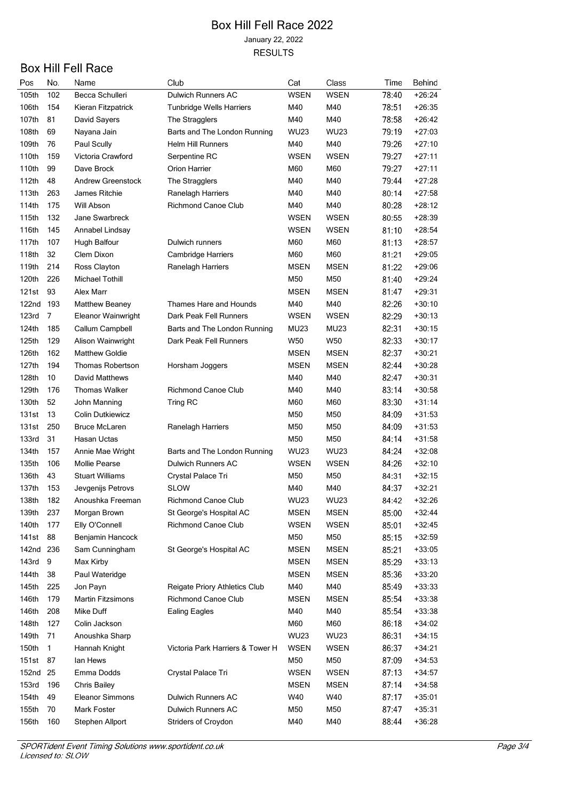| Pos      | No. | Name                     | Club                                                  | Cat         | Class       | Time  | Behind   |
|----------|-----|--------------------------|-------------------------------------------------------|-------------|-------------|-------|----------|
| 105th    | 102 | Becca Schulleri          | <b>Dulwich Runners AC</b>                             | <b>WSEN</b> | <b>WSEN</b> | 78.40 | $+26:24$ |
| 106th    | 154 | Kieran Fitzpatrick       | <b>Tunbridge Wells Harriers</b>                       | M40         | M40         | 78:51 | $+26:35$ |
| 107th    | 81  | David Sayers             | The Stragglers                                        | M40         | M40         | 78.58 | $+26:42$ |
| 108th    | 69  | Nayana Jain              | Barts and The London Running                          | <b>WU23</b> | <b>WU23</b> | 79:19 | $+27:03$ |
| 109th    | 76  | Paul Scully              | <b>Helm Hill Runners</b>                              | M40         | M40         | 79.26 | $+27:10$ |
| 110th    | 159 | Victoria Crawford        | Serpentine RC                                         | WSEN        | WSEN        | 79:27 | $+27:11$ |
| 110th    | 99  | Dave Brock               | Orion Harrier                                         | M60         | M60         | 79.27 | $+27:11$ |
| 112th    | 48  | <b>Andrew Greenstock</b> | The Stragglers                                        | M40         | M40         | 79:44 | $+27:28$ |
| 113th    | 263 | James Ritchie            | Ranelagh Harriers                                     | M40         | M40         | 80:14 | $+27:58$ |
| 114th    | 175 | Will Abson               | <b>Richmond Canoe Club</b>                            | M40         | M40         | 80:28 | $+28:12$ |
| 115th    | 132 | Jane Swarbreck           |                                                       | <b>WSEN</b> | WSEN        | 80.55 | $+28:39$ |
| 116th    | 145 | Annabel Lindsay          |                                                       | WSEN        | WSEN        | 81:10 | $+28:54$ |
| 117th    | 107 | Hugh Balfour             | Dulwich runners                                       | M60         | M60         | 81:13 | $+28:57$ |
| 118th    | 32  | Clem Dixon               | Cambridge Harriers                                    | M60         | M60         | 81:21 | $+29:05$ |
| 119th    | 214 | Ross Clayton             | Ranelagh Harriers                                     | <b>MSEN</b> | <b>MSEN</b> | 81.22 | $+29:06$ |
| 120th    | 226 | <b>Michael Tothill</b>   |                                                       | M50         | M50         | 81:40 | $+29:24$ |
| 121st    | 93  | Alex Marr                |                                                       | MSEN        | <b>MSEN</b> | 81.47 | $+29:31$ |
| 122nd    | 193 | Matthew Beaney           | Thames Hare and Hounds                                | M40         | M40         | 82.26 | $+30:10$ |
| 123rd    | 7   | Eleanor Wainwright       | Dark Peak Fell Runners                                | WSEN        | <b>WSEN</b> | 82.29 | $+30:13$ |
| 124th    | 185 | Callum Campbell          | Barts and The London Running                          | MU23        | MU23        | 82:31 | $+30.15$ |
| 125th    | 129 | Alison Wainwright        | Dark Peak Fell Runners                                | W50         | W50         | 82.33 | $+30:17$ |
| 126th    | 162 | <b>Matthew Goldie</b>    |                                                       | <b>MSEN</b> | <b>MSEN</b> | 82:37 | $+30:21$ |
| 127th    | 194 | <b>Thomas Robertson</b>  | Horsham Joggers                                       | <b>MSEN</b> | <b>MSEN</b> | 82:44 | $+30:28$ |
| 128th    | 10  | David Matthews           |                                                       | M40         | M40         | 82:47 | $+30:31$ |
| 129th    | 176 | <b>Thomas Walker</b>     | <b>Richmond Canoe Club</b>                            | M40         | M40         | 83:14 | $+30:58$ |
| 130th    | 52  | John Manning             | Tring RC                                              | M60         | M60         | 83.30 | $+31:14$ |
| 131st    | 13  | <b>Colin Dutkiewicz</b>  |                                                       | M50         | M50         | 84:09 | $+31:53$ |
| 131st    | 250 | <b>Bruce McLaren</b>     | Ranelagh Harriers                                     | M50         | M50         | 84:09 | $+31:53$ |
| 133rd    | 31  | Hasan Uctas              |                                                       | M50         | M50         | 84:14 | $+31:58$ |
| 134th    | 157 | Annie Mae Wright         | Barts and The London Running                          | WU23        | <b>WU23</b> | 84:24 | $+32:08$ |
| 135th    | 106 | Mollie Pearse            | Dulwich Runners AC                                    | <b>WSEN</b> | <b>WSEN</b> | 84.26 | $+32:10$ |
| 136th    | 43  | <b>Stuart Williams</b>   | Crystal Palace Tri                                    | M50         | M50         | 84:31 | $+32:15$ |
| 137th    | 153 | Jevgenijs Petrovs        | <b>SLOW</b>                                           | M40         | M40         | 84:37 | $+32:21$ |
| 138th    | 182 | Anoushka Freeman         | Richmond Canoe Club                                   | <b>WU23</b> | <b>WU23</b> | 84:42 | $+32:26$ |
| 139th    | 237 | Morgan Brown             |                                                       | <b>MSEN</b> | <b>MSEN</b> | 85:00 | $+32:44$ |
| 140th    | 177 | Elly O'Connell           | St George's Hospital AC<br><b>Richmond Canoe Club</b> | <b>WSEN</b> | <b>WSEN</b> |       | $+32:45$ |
|          |     |                          |                                                       |             |             | 85:01 |          |
| 141st    | 88  | Benjamin Hancock         |                                                       | M50         | M50         | 85:15 | $+32:59$ |
| 142nd    | 236 | Sam Cunningham           | St George's Hospital AC                               | <b>MSEN</b> | <b>MSEN</b> | 85.21 | $+33:05$ |
| 143rd    | 9   | Max Kirby                |                                                       | <b>MSEN</b> | <b>MSEN</b> | 85.29 | $+33:13$ |
| 144th    | 38  | Paul Wateridge           |                                                       | <b>MSEN</b> | <b>MSEN</b> | 85.36 | $+33:20$ |
| 145th    | 225 | Jon Payn                 | Reigate Priory Athletics Club                         | M40         | M40         | 85:49 | $+33:33$ |
| 146th    | 179 | <b>Martin Fitzsimons</b> | <b>Richmond Canoe Club</b>                            | <b>MSEN</b> | <b>MSEN</b> | 85:54 | $+33:38$ |
| 146th    | 208 | Mike Duff                | <b>Ealing Eagles</b>                                  | M40         | M40         | 85:54 | $+33.38$ |
| 148th    | 127 | Colin Jackson            |                                                       | M60         | M60         | 86.18 | $+34:02$ |
| 149th    | 71  | Anoushka Sharp           |                                                       | <b>WU23</b> | <b>WU23</b> | 86:31 | $+34:15$ |
| 150th    | 1   | Hannah Knight            | Victoria Park Harriers & Tower H                      | <b>WSEN</b> | <b>WSEN</b> | 86:37 | $+34:21$ |
| 151st    | 87  | lan Hews                 |                                                       | M50         | M50         | 87:09 | $+34:53$ |
| 152nd 25 |     | Emma Dodds               | Crystal Palace Tri                                    | <b>WSEN</b> | <b>WSEN</b> | 87.13 | $+34.57$ |
| 153rd    | 196 | Chris Bailey             |                                                       | <b>MSEN</b> | <b>MSEN</b> | 87:14 | $+34.58$ |
| 154th    | 49  | <b>Eleanor Simmons</b>   | <b>Dulwich Runners AC</b>                             | W40         | W40         | 87.17 | $+35:01$ |
| 155th    | 70  | Mark Foster              | Dulwich Runners AC                                    | M50         | M50         | 87:47 | $+35:31$ |
| 156th    | 160 | Stephen Allport          | Striders of Croydon                                   | M40         | M40         | 88:44 | $+36.28$ |